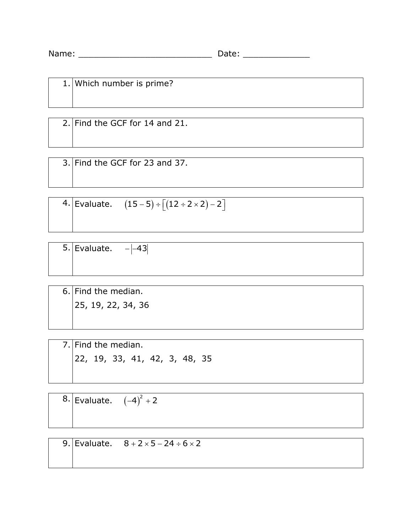| Name: | .<br>---- |  |
|-------|-----------|--|
|       |           |  |

|  | 1. Which number is prime? |
|--|---------------------------|
|  |                           |
|  |                           |
|  |                           |

2. Find the GCF for 14 and 21.

3. Find the GCF for 23 and 37.

4. Evaluate.  $(15-5) \div [(12 \div 2 \times 2) - 2]$ 

| 5. Evaluate. $- -43 $ |  |  |  |
|-----------------------|--|--|--|
|                       |  |  |  |
|                       |  |  |  |

6. Find the median. 25, 19, 22, 34, 36

7. Find the median. 22, 19, 33, 41, 42, 3, 48, 35

 $8.$  Evaluate.  $(-4)^2 + 2$ 

9. Evaluate.  $8 + 2 \times 5 - 24 \div 6 \times 2$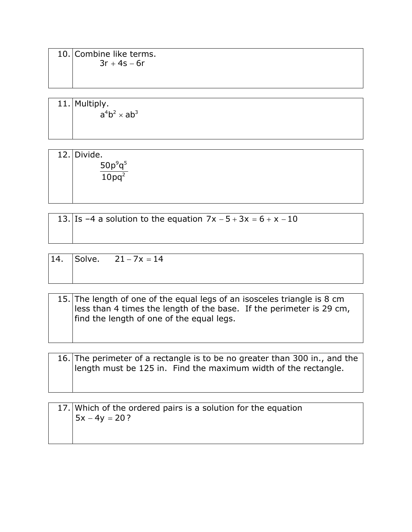10. Combine like terms.  $3r + 4s - 6r$ 

11. Multiply.  $a^4b^2 \times ab^3$ 

12. Divide.  $9 - 5$ 50 10 *p q pq*

2

13. Is –4 a solution to the equation  $7x - 5 + 3x = 6 + x - 10$ 

| 14. | Solve. $21 - 7x = 14$ |
|-----|-----------------------|
|     |                       |

15. The length of one of the equal legs of an isosceles triangle is 8 cm less than 4 times the length of the base. If the perimeter is 29 cm, find the length of one of the equal legs.

16. The perimeter of a rectangle is to be no greater than 300 in., and the length must be 125 in. Find the maximum width of the rectangle.

| 17. Which of the ordered pairs is a solution for the equation |
|---------------------------------------------------------------|
| $ 5x - 4y = 20?$                                              |
|                                                               |
|                                                               |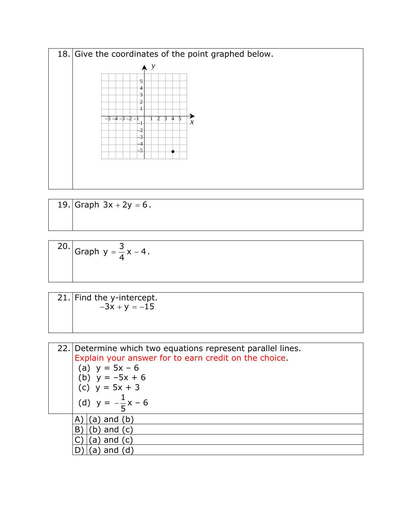

19. Graph  $3x + 2y = 6$ .

20. Graph 
$$
y = \frac{3}{4}x - 4
$$
.

21. Find the *y*-intercept.  $-3x + y = -15$ 

| 22. Determine which two equations represent parallel lines.<br>Explain your answer for to earn credit on the choice.<br>(a) $y = 5x - 6$<br>(b) $y = -5x + 6$<br>(c) $y = 5x + 3$<br>(d) $y = -\frac{1}{5}x - 6$ |
|------------------------------------------------------------------------------------------------------------------------------------------------------------------------------------------------------------------|
| (a) and (b)                                                                                                                                                                                                      |
| $(b)$ and $(c)$<br>В                                                                                                                                                                                             |
| $(a)$ and $(c)$                                                                                                                                                                                                  |
|                                                                                                                                                                                                                  |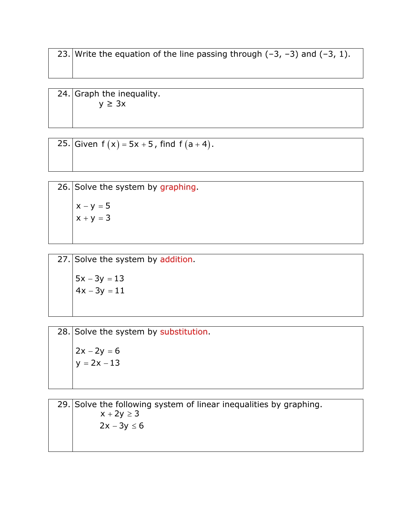23. Write the equation of the line passing through  $(-3, -3)$  and  $(-3, 1)$ .

24. Graph the inequality. *y* ≥ 3*x* 

25. Given  $f(x) = 5x + 5$ , find  $f(a + 4)$ .

26. Solve the system by graphing.  $x - y = 5$  $x + y = 3$ 

27. Solve the system by addition.  $5x - 3y = 13$  $4x - 3y = 11$ 

 $28.$  Solve the system by substitution.  $2x - 2y = 6$  $y = 2x - 13$ 

29. Solve the following system of linear inequalities by graphing.  $x + 2y \ge 3$  $2x - 3y \le 6$